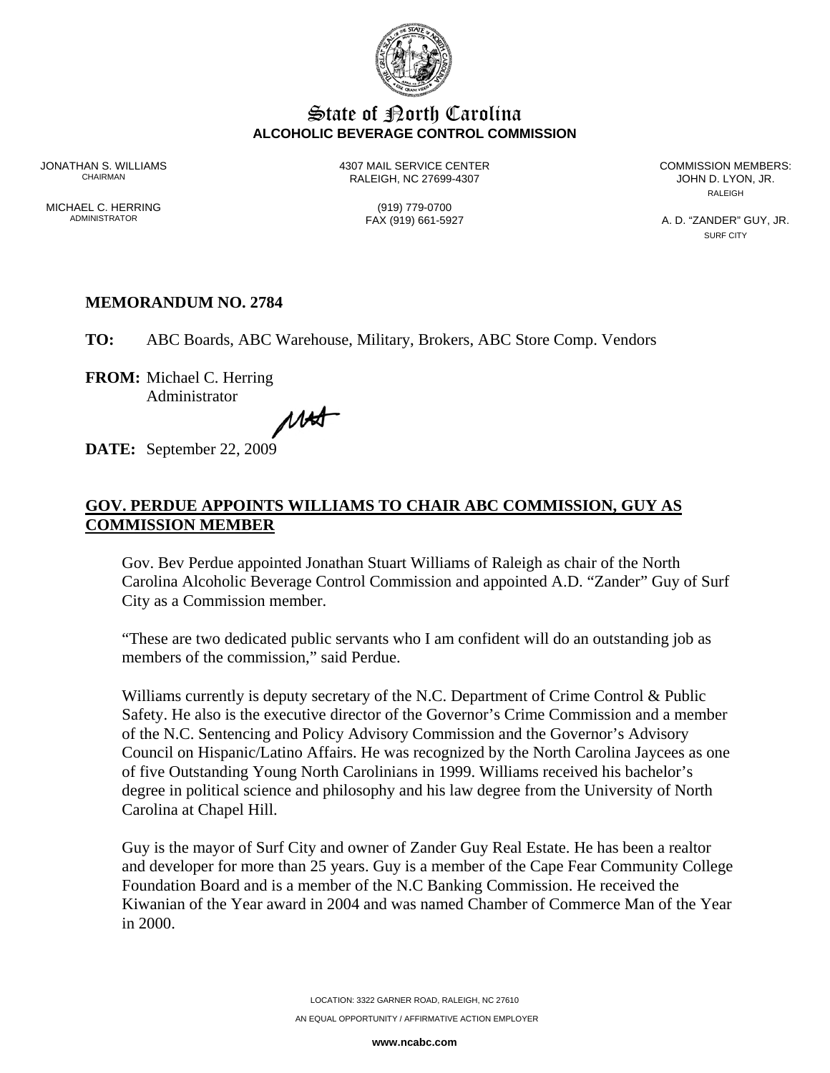

## **State of Borth Carolina ALCOHOLIC BEVERAGE CONTROL COMMISSION**

JONATHAN S. WILLIAMS 4307 MAIL SERVICE CENTER COMMISSION MEMBERS: RALEIGH, NC 27699-4307

**RALEIGH** 

MICHAEL C. HERRING (919) 779-0700<br>ADMINISTRATOR (919) 661-5927

A. D. "ZANDER" GUY, JR. SURF CITY

## **MEMORANDUM NO. 2784**

**TO:** ABC Boards, ABC Warehouse, Military, Brokers, ABC Store Comp. Vendors

**FROM:** Michael C. Herring Administrator

MAS

**DATE:** September 22, 2009

## **GOV. PERDUE APPOINTS WILLIAMS TO CHAIR ABC COMMISSION, GUY AS COMMISSION MEMBER**

Gov. Bev Perdue appointed Jonathan Stuart Williams of Raleigh as chair of the North Carolina Alcoholic Beverage Control Commission and appointed A.D. "Zander" Guy of Surf City as a Commission member.

"These are two dedicated public servants who I am confident will do an outstanding job as members of the commission," said Perdue.

Williams currently is deputy secretary of the N.C. Department of Crime Control & Public Safety. He also is the executive director of the Governor's Crime Commission and a member of the N.C. Sentencing and Policy Advisory Commission and the Governor's Advisory Council on Hispanic/Latino Affairs. He was recognized by the North Carolina Jaycees as one of five Outstanding Young North Carolinians in 1999. Williams received his bachelor's degree in political science and philosophy and his law degree from the University of North Carolina at Chapel Hill.

Guy is the mayor of Surf City and owner of Zander Guy Real Estate. He has been a realtor and developer for more than 25 years. Guy is a member of the Cape Fear Community College Foundation Board and is a member of the N.C Banking Commission. He received the Kiwanian of the Year award in 2004 and was named Chamber of Commerce Man of the Year in 2000.

**www.ncabc.com**